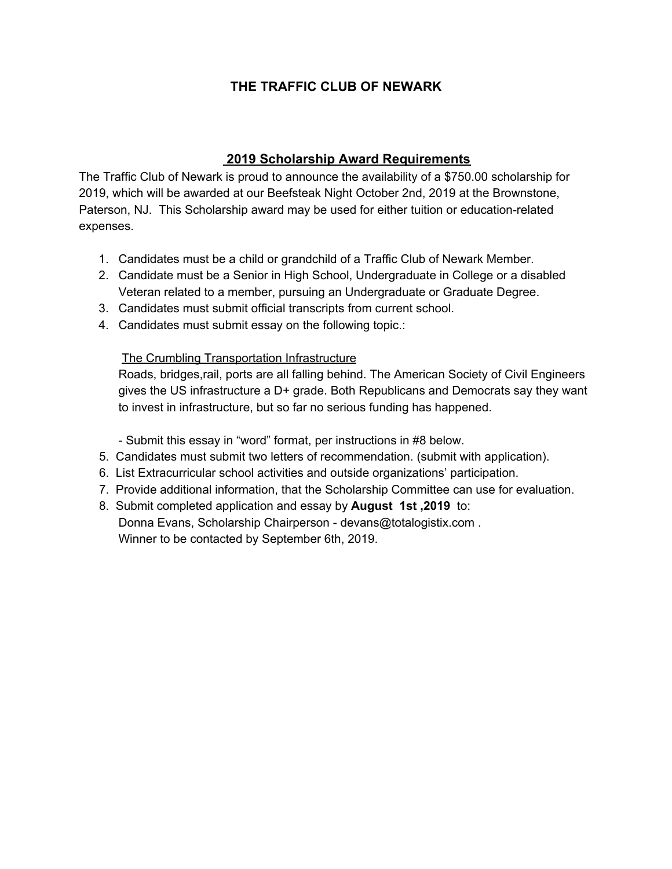## **THE TRAFFIC CLUB OF NEWARK**

## **2019 Scholarship Award Requirements**

The Traffic Club of Newark is proud to announce the availability of a \$750.00 scholarship for 2019, which will be awarded at our Beefsteak Night October 2nd, 2019 at the Brownstone, Paterson, NJ. This Scholarship award may be used for either tuition or education-related expenses.

- 1. Candidates must be a child or grandchild of a Traffic Club of Newark Member.
- 2. Candidate must be a Senior in High School, Undergraduate in College or a disabled Veteran related to a member, pursuing an Undergraduate or Graduate Degree.
- 3. Candidates must submit official transcripts from current school.
- 4. Candidates must submit essay on the following topic.:

## The Crumbling Transportation Infrastructure

Roads, bridges,rail, ports are all falling behind. The American Society of Civil Engineers gives the US infrastructure a D+ grade. Both Republicans and Democrats say they want to invest in infrastructure, but so far no serious funding has happened.

- Submit this essay in "word" format, per instructions in #8 below.

- 5. Candidates must submit two letters of recommendation. (submit with application).
- 6. List Extracurricular school activities and outside organizations' participation.
- 7. Provide additional information, that the Scholarship Committee can use for evaluation.
- 8. Submit completed application and essay by **August 1st ,2019** to: Donna Evans, Scholarship Chairperson - devans@totalogistix.com . Winner to be contacted by September 6th, 2019.